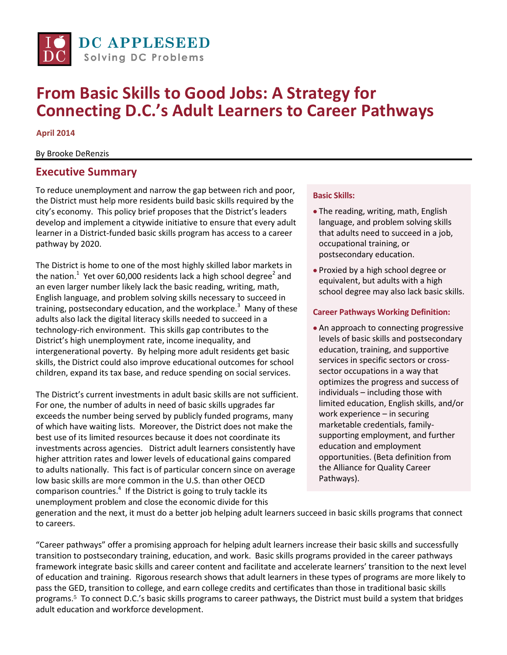

# **From Basic Skills to Good Jobs: A Strategy for Connecting D.C.'s Adult Learners to Career Pathways**

**April 2014**

By Brooke DeRenzis

### **Executive Summary**

To reduce unemployment and narrow the gap between rich and poor, the District must help more residents build basic skills required by the city's economy. This policy brief proposes that the District's leaders develop and implement a citywide initiative to ensure that every adult learner in a District-funded basic skills program has access to a career pathway by 2020.

The District is home to one of the most highly skilled labor markets in the nation.<sup>1</sup> Yet over 60,000 residents lack a high school degree<sup>2</sup> and an even larger number likely lack the basic reading, writing, math, English language, and problem solving skills necessary to succeed in training, postsecondary education, and the workplace.<sup>3</sup> Many of these adults also lack the digital literacy skills needed to succeed in a technology-rich environment. This skills gap contributes to the District's high unemployment rate, income inequality, and intergenerational poverty. By helping more adult residents get basic skills, the District could also improve educational outcomes for school children, expand its tax base, and reduce spending on social services.

The District's current investments in adult basic skills are not sufficient. For one, the number of adults in need of basic skills upgrades far exceeds the number being served by publicly funded programs, many of which have waiting lists. Moreover, the District does not make the best use of its limited resources because it does not coordinate its investments across agencies. District adult learners consistently have higher attrition rates and lower levels of educational gains compared to adults nationally. This fact is of particular concern since on average low basic skills are more common in the U.S. than other OECD comparison countries.<sup>4</sup> If the District is going to truly tackle its unemployment problem and close the economic divide for this

#### **Basic Skills:**

- The reading, writing, math, English language, and problem solving skills that adults need to succeed in a job, occupational training, or postsecondary education.
- Proxied by a high school degree or equivalent, but adults with a high school degree may also lack basic skills.

#### **Career Pathways Working Definition:**

• An approach to connecting progressive levels of basic skills and postsecondary education, training, and supportive services in specific sectors or crosssector occupations in a way that optimizes the progress and success of individuals – including those with limited education, English skills, and/or work experience – in securing marketable credentials, familysupporting employment, and further education and employment opportunities. (Beta definition from the Alliance for Quality Career Pathways).

generation and the next, it must do a better job helping adult learners succeed in basic skills programs that connect to careers.

"Career pathways" offer a promising approach for helping adult learners increase their basic skills and successfully transition to postsecondary training, education, and work. Basic skills programs provided in the career pathways framework integrate basic skills and career content and facilitate and accelerate learners' transition to the next level of education and training. Rigorous research shows that adult learners in these types of programs are more likely to pass the GED, transition to college, and earn college credits and certificates than those in traditional basic skills programs.<sup>5</sup> To connect D.C.'s basic skills programs to career pathways, the District must build a system that bridges adult education and workforce development.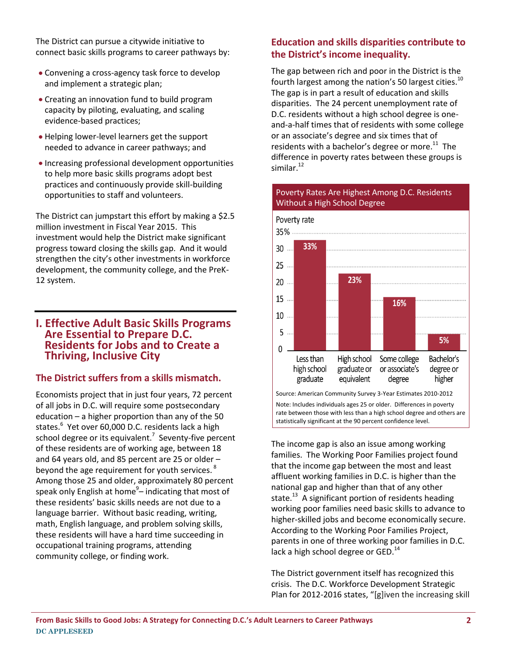The District can pursue a citywide initiative to connect basic skills programs to career pathways by:

- Convening a cross-agency task force to develop and implement a strategic plan;
- Creating an innovation fund to build program capacity by piloting, evaluating, and scaling evidence-based practices;
- Helping lower-level learners get the support needed to advance in career pathways; and
- Increasing professional development opportunities to help more basic skills programs adopt best practices and continuously provide skill-building opportunities to staff and volunteers.

The District can jumpstart this effort by making a \$2.5 million investment in Fiscal Year 2015. This investment would help the District make significant progress toward closing the skills gap. And it would strengthen the city's other investments in workforce development, the community college, and the PreK-12 system.

#### **I. Effective Adult Basic Skills Programs Are Essential to Prepare D.C. Residents for Jobs and to Create a Thriving, Inclusive City**

#### **The District suffers from a skills mismatch.**

Economists project that in just four years, 72 percent of all jobs in D.C. will require some postsecondary education – a higher proportion than any of the 50 states.<sup>6</sup> Yet over 60,000 D.C. residents lack a high school degree or its equivalent.<sup>7</sup> Seventy-five percent of these residents are of working age, between 18 and 64 years old, and 85 percent are 25 or older – beyond the age requirement for youth services.  $^8$ Among those 25 and older, approximately 80 percent speak only English at home<sup>9</sup>– indicating that most of these residents' basic skills needs are not due to a language barrier. Without basic reading, writing, math, English language, and problem solving skills, these residents will have a hard time succeeding in occupational training programs, attending community college, or finding work.

### **Education and skills disparities contribute to the District's income inequality.**

The gap between rich and poor in the District is the fourth largest among the nation's 50 largest cities.<sup>10</sup> The gap is in part a result of education and skills disparities. The 24 percent unemployment rate of D.C. residents without a high school degree is oneand-a-half times that of residents with some college or an associate's degree and six times that of residents with a bachelor's degree or more.<sup>11</sup> The difference in poverty rates between these groups is similar.<sup>12</sup>

Poverty Rates Are Highest Among D.C. Residents



rate between those with less than a high school degree and others are statistically significant at the 90 percent confidence level.

The income gap is also an issue among working families. The Working Poor Families project found that the income gap between the most and least affluent working families in D.C. is higher than the national gap and higher than that of any other state.<sup>13</sup> A significant portion of residents heading working poor families need basic skills to advance to higher-skilled jobs and become economically secure. According to the Working Poor Families Project, parents in one of three working poor families in D.C. lack a high school degree or GED.<sup>14</sup>

The District government itself has recognized this crisis. The D.C. Workforce Development Strategic Plan for 2012-2016 states, "[g]iven the increasing skill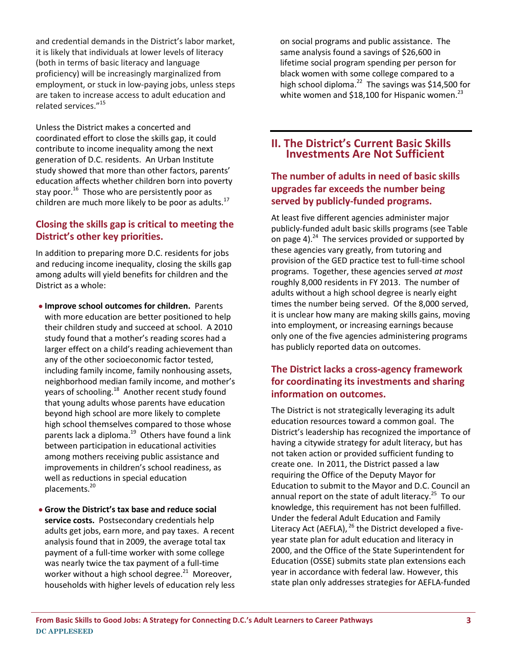and credential demands in the District's labor market, it is likely that individuals at lower levels of literacy (both in terms of basic literacy and language proficiency) will be increasingly marginalized from employment, or stuck in low-paying jobs, unless steps are taken to increase access to adult education and related services."<sup>15</sup>

Unless the District makes a concerted and coordinated effort to close the skills gap, it could contribute to income inequality among the next generation of D.C. residents. An Urban Institute study showed that more than other factors, parents' education affects whether children born into poverty stay poor.<sup>16</sup> Those who are persistently poor as children are much more likely to be poor as adults.<sup>17</sup>

### **Closing the skills gap is critical to meeting the District's other key priorities.**

In addition to preparing more D.C. residents for jobs and reducing income inequality, closing the skills gap among adults will yield benefits for children and the District as a whole:

- **Improve school outcomes for children.** Parents with more education are better positioned to help their children study and succeed at school. A 2010 study found that a mother's reading scores had a larger effect on a child's reading achievement than any of the other socioeconomic factor tested, including family income, family nonhousing assets, neighborhood median family income, and mother's years of schooling.<sup>18</sup> Another recent study found that young adults whose parents have education beyond high school are more likely to complete high school themselves compared to those whose parents lack a diploma.<sup>19</sup> Others have found a link between participation in educational activities among mothers receiving public assistance and improvements in children's school readiness, as well as reductions in special education placements.<sup>20</sup>
- **Grow the District's tax base and reduce social service costs.** Postsecondary credentials help adults get jobs, earn more, and pay taxes. A recent analysis found that in 2009, the average total tax payment of a full-time worker with some college was nearly twice the tax payment of a full-time worker without a high school degree.<sup>21</sup> Moreover, households with higher levels of education rely less

on social programs and public assistance. The same analysis found a savings of \$26,600 in lifetime social program spending per person for black women with some college compared to a high school diploma.<sup>22</sup> The savings was \$14,500 for white women and \$18,100 for Hispanic women.<sup>23</sup>

**II. The District's Current Basic Skills Investments Are Not Sufficient**

### **The number of adults in need of basic skills upgrades far exceeds the number being served by publicly-funded programs.**

At least five different agencies administer major publicly-funded adult basic skills programs (see Table on page 4). $^{24}$  The services provided or supported by these agencies vary greatly, from tutoring and provision of the GED practice test to full-time school programs. Together, these agencies served *at most* roughly 8,000 residents in FY 2013. The number of adults without a high school degree is nearly eight times the number being served. Of the 8,000 served, it is unclear how many are making skills gains, moving into employment, or increasing earnings because only one of the five agencies administering programs has publicly reported data on outcomes.

### **The District lacks a cross-agency framework for coordinating its investments and sharing information on outcomes.**

The District is not strategically leveraging its adult education resources toward a common goal. The District's leadership has recognized the importance of having a citywide strategy for adult literacy, but has not taken action or provided sufficient funding to create one. In 2011, the District passed a law requiring the Office of the Deputy Mayor for Education to submit to the Mayor and D.C. Council an annual report on the state of adult literacy.<sup>25</sup> To our knowledge, this requirement has not been fulfilled. Under the federal Adult Education and Family Literacy Act (AEFLA),  $^{26}$  the District developed a fiveyear state plan for adult education and literacy in 2000, and the Office of the State Superintendent for Education (OSSE) submits state plan extensions each year in accordance with federal law. However, this state plan only addresses strategies for AEFLA-funded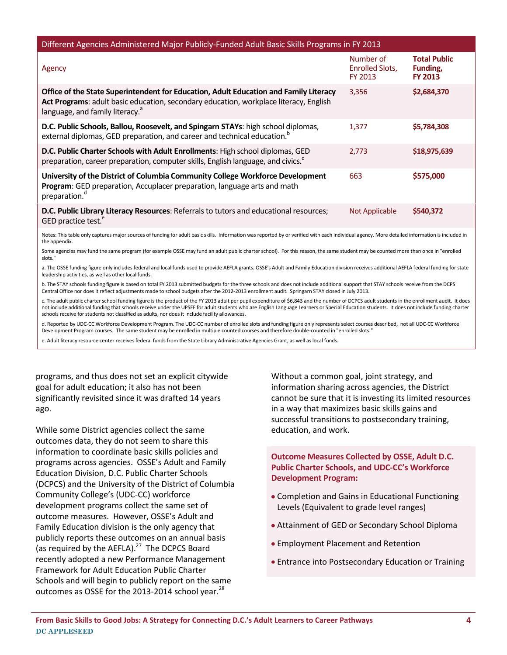| Different Agencies Administered Major Publicly-Funded Adult Basic Skills Programs in FY 2013                                                                                                                                  |                                         |                                                   |  |  |  |
|-------------------------------------------------------------------------------------------------------------------------------------------------------------------------------------------------------------------------------|-----------------------------------------|---------------------------------------------------|--|--|--|
| Agency                                                                                                                                                                                                                        | Number of<br>Enrolled Slots.<br>FY 2013 | <b>Total Public</b><br>Funding,<br><b>FY 2013</b> |  |  |  |
| Office of the State Superintendent for Education, Adult Education and Family Literacy<br>Act Programs: adult basic education, secondary education, workplace literacy, English<br>language, and family literacy. <sup>a</sup> | 3,356                                   | \$2,684,370                                       |  |  |  |
| D.C. Public Schools, Ballou, Roosevelt, and Spingarn STAYs: high school diplomas,<br>external diplomas, GED preparation, and career and technical education. <sup>b</sup>                                                     | 1.377                                   | \$5,784,308                                       |  |  |  |
| D.C. Public Charter Schools with Adult Enrollments: High school diplomas, GED<br>preparation, career preparation, computer skills, English language, and civics. <sup>c</sup>                                                 | 2,773                                   | \$18,975,639                                      |  |  |  |
| University of the District of Columbia Community College Workforce Development<br>Program: GED preparation, Accuplacer preparation, language arts and math<br>preparation. <sup>d</sup>                                       | 663                                     | \$575,000                                         |  |  |  |
| D.C. Public Library Literacy Resources: Referrals to tutors and educational resources;<br>GED practice test. <sup>e</sup>                                                                                                     | Not Applicable                          | \$540,372                                         |  |  |  |

Notes: This table only captures major sources of funding for adult basic skills. Information was reported by or verified with each individual agency. More detailed information is included in the appendix.

Some agencies may fund the same program (for example OSSE may fund an adult public charter school). For this reason, the same student may be counted more than once in "enrolled slots."

a. The OSSE funding figure only includes federal and local funds used to provide AEFLA grants. OSSE's Adult and Family Education division receives additional AEFLA federal funding for state leadership activities, as well as other local funds.

b. The STAY schools funding figure is based on total FY 2013 submitted budgets for the three schools and does not include additional support that STAY schools receive from the DCPS Central Office nor does it reflect adjustments made to school budgets after the 2012-2013 enrollment audit. Springarn STAY closed in July 2013.

c. The adult public charter school funding figure is the product of the FY 2013 adult per pupil expenditure of \$6,843 and the number of DCPCS adult students in the enrollment audit. It does not include additional funding that schools receive under the UPSFF for adult students who are English Language Learners or Special Education students. It does not include funding charter schools receive for students not classified as adults, nor does it include facility allowances.

d. Reported by UDC-CC Workforce Development Program. The UDC-CC number of enrolled slots and funding figure only represents select courses described, not all UDC-CC Workforce Development Program courses. The same student may be enrolled in multiple counted courses and therefore double-counted in "enrolled slots."

e. Adult literacy resource center receives federal funds from the State Library Administrative Agencies Grant, as well as local funds.

programs, and thus does not set an explicit citywide goal for adult education; it also has not been significantly revisited since it was drafted 14 years ago.

While some District agencies collect the same outcomes data, they do not seem to share this information to coordinate basic skills policies and programs across agencies. OSSE's Adult and Family Education Division, D.C. Public Charter Schools (DCPCS) and the University of the District of Columbia Community College's (UDC-CC) workforce development programs collect the same set of outcome measures. However, OSSE's Adult and Family Education division is the only agency that publicly reports these outcomes on an annual basis (as required by the AEFLA). $^{27}$  The DCPCS Board recently adopted a new Performance Management Framework for Adult Education Public Charter Schools and will begin to publicly report on the same outcomes as OSSE for the 2013-2014 school year. $^{28}$ 

Without a common goal, joint strategy, and information sharing across agencies, the District cannot be sure that it is investing its limited resources in a way that maximizes basic skills gains and successful transitions to postsecondary training, education, and work.

**Outcome Measures Collected by OSSE, Adult D.C. Public Charter Schools, and UDC-CC's Workforce Development Program:**

- Completion and Gains in Educational Functioning Levels (Equivalent to grade level ranges)
- Attainment of GED or Secondary School Diploma
- Employment Placement and Retention
- Entrance into Postsecondary Education or Training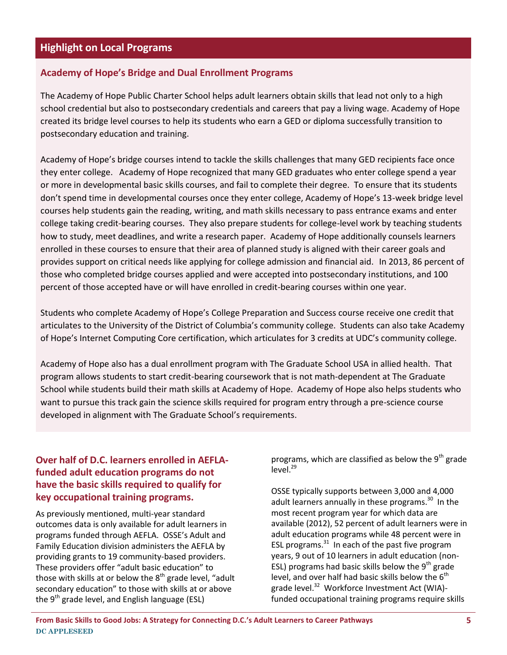### **Highlight on Local Programs**

#### **Academy of Hope's Bridge and Dual Enrollment Programs**

The Academy of Hope Public Charter School helps adult learners obtain skills that lead not only to a high school credential but also to postsecondary credentials and careers that pay a living wage. Academy of Hope created its bridge level courses to help its students who earn a GED or diploma successfully transition to postsecondary education and training.

Academy of Hope's bridge courses intend to tackle the skills challenges that many GED recipients face once they enter college. Academy of Hope recognized that many GED graduates who enter college spend a year or more in developmental basic skills courses, and fail to complete their degree. To ensure that its students don't spend time in developmental courses once they enter college, Academy of Hope's 13-week bridge level courses help students gain the reading, writing, and math skills necessary to pass entrance exams and enter college taking credit-bearing courses. They also prepare students for college-level work by teaching students how to study, meet deadlines, and write a research paper. Academy of Hope additionally counsels learners enrolled in these courses to ensure that their area of planned study is aligned with their career goals and provides support on critical needs like applying for college admission and financial aid. In 2013, 86 percent of those who completed bridge courses applied and were accepted into postsecondary institutions, and 100 percent of those accepted have or will have enrolled in credit-bearing courses within one year.

Students who complete Academy of Hope's College Preparation and Success course receive one credit that articulates to the University of the District of Columbia's community college. Students can also take Academy of Hope's Internet Computing Core certification, which articulates for 3 credits at UDC's community college.

Academy of Hope also has a dual enrollment program with The Graduate School USA in allied health. That program allows students to start credit-bearing coursework that is not math-dependent at The Graduate School while students build their math skills at Academy of Hope. Academy of Hope also helps students who want to pursue this track gain the science skills required for program entry through a pre-science course developed in alignment with The Graduate School's requirements.

### **Over half of D.C. learners enrolled in AEFLAfunded adult education programs do not have the basic skills required to qualify for key occupational training programs.**

As previously mentioned, multi-year standard outcomes data is only available for adult learners in programs funded through AEFLA. OSSE's Adult and Family Education division administers the AEFLA by providing grants to 19 community-based providers. These providers offer "adult basic education" to those with skills at or below the  $8<sup>th</sup>$  grade level, "adult secondary education" to those with skills at or above the  $9<sup>th</sup>$  grade level, and English language (ESL)

programs, which are classified as below the 9<sup>th</sup> grade level. 29

OSSE typically supports between 3,000 and 4,000 adult learners annually in these programs.<sup>30</sup> In the most recent program year for which data are available (2012), 52 percent of adult learners were in adult education programs while 48 percent were in ESL programs. $31$  In each of the past five program years, 9 out of 10 learners in adult education (non-ESL) programs had basic skills below the  $9<sup>th</sup>$  grade level, and over half had basic skills below the  $6<sup>th</sup>$ grade level.<sup>32</sup> Workforce Investment Act (WIA)funded occupational training programs require skills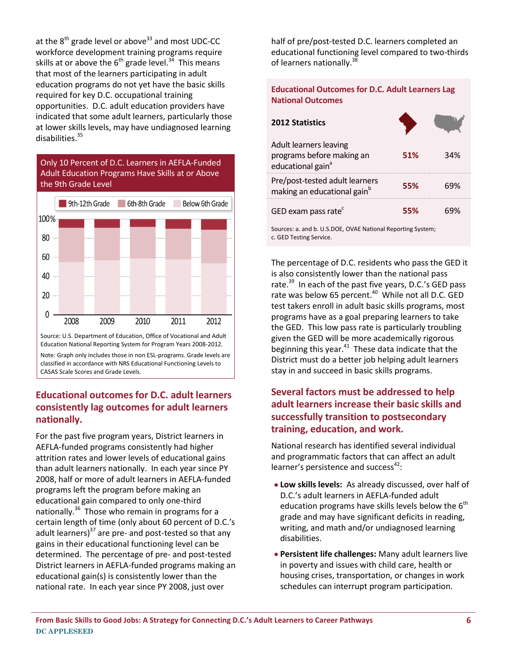at the  $8<sup>th</sup>$  grade level or above<sup>33</sup> and most UDC-CC workforce development training programs require skills at or above the  $6^{th}$  grade level.<sup>34</sup> This means that most of the learners participating in adult education programs do not yet have the basic skills required for key D.C. occupational training opportunities. D.C. adult education providers have indicated that some adult learners, particularly those at lower skills levels, may have undiagnosed learning disabilities. 35



classified in accordance with NRS Educational Functioning Levels to CASAS Scale Scores and Grade Levels.

### **Educational outcomes for D.C. adult learners consistently lag outcomes for adult learners nationally.**

For the past five program years, District learners in AEFLA-funded programs consistently had higher attrition rates and lower levels of educational gains than adult learners nationally. In each year since PY 2008, half or more of adult learners in AEFLA-funded programs left the program before making an educational gain compared to only one-third nationally.<sup>36</sup> Those who remain in programs for a certain length of time (only about 60 percent of D.C.'s adult learners) $37$  are pre- and post-tested so that any gains in their educational functioning level can be determined. The percentage of pre- and post-tested District learners in AEFLA-funded programs making an educational gain(s) is consistently lower than the national rate. In each year since PY 2008, just over

half of pre/post-tested D.C. learners completed an educational functioning level compared to two-thirds of learners nationally.<sup>38</sup>

#### **Educational Outcomes for D.C. Adult Learners Lag National Outcomes**

| <b>2012 Statistics</b>                                                                 |     |     |
|----------------------------------------------------------------------------------------|-----|-----|
| Adult learners leaving<br>programs before making an<br>educational gain <sup>a</sup>   | 51% | 34% |
| Pre/post-tested adult learners<br>making an educational gain <sup>b</sup>              | 55% | 69% |
| GED exam pass rate <sup>c</sup>                                                        | 55% | 69% |
| Sources: a. and b. U.S.DOE, OVAE National Reporting System;<br>c. GED Testing Service. |     |     |

The percentage of D.C. residents who pass the GED it is also consistently lower than the national pass rate.<sup>39</sup> In each of the past five years, D.C.'s GED pass rate was below 65 percent.<sup>40</sup> While not all D.C. GED test takers enroll in adult basic skills programs, most programs have as a goal preparing learners to take the GED. This low pass rate is particularly troubling given the GED will be more academically rigorous beginning this year. $41$  These data indicate that the District must do a better job helping adult learners stay in and succeed in basic skills programs.

### **Several factors must be addressed to help adult learners increase their basic skills and successfully transition to postsecondary training, education, and work.**

National research has identified several individual and programmatic factors that can affect an adult learner's persistence and success<sup>42</sup>:

- **Low skills levels:** As already discussed, over half of D.C.'s adult learners in AEFLA-funded adult education programs have skills levels below the  $6<sup>th</sup>$ grade and may have significant deficits in reading, writing, and math and/or undiagnosed learning disabilities.
- **Persistent life challenges:** Many adult learners live in poverty and issues with child care, health or housing crises, transportation, or changes in work schedules can interrupt program participation.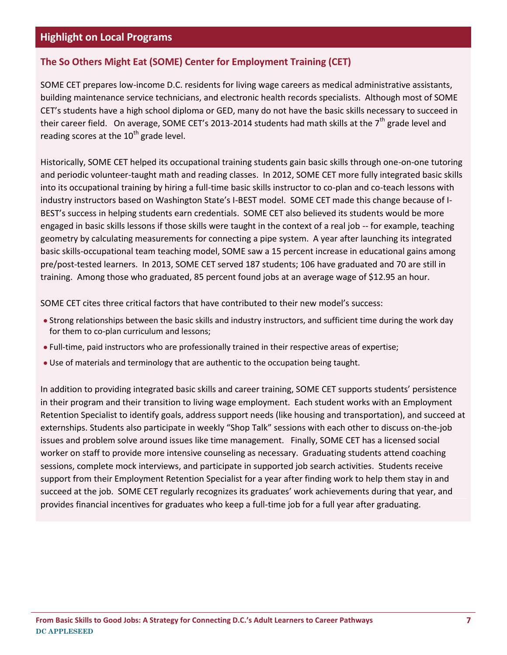### **Highlight on Local Programs**

### **The So Others Might Eat (SOME) Center for Employment Training (CET)**

SOME CET prepares low-income D.C. residents for living wage careers as medical administrative assistants, building maintenance service technicians, and electronic health records specialists. Although most of SOME CET's students have a high school diploma or GED, many do not have the basic skills necessary to succeed in their career field. On average, SOME CET's 2013-2014 students had math skills at the 7<sup>th</sup> grade level and reading scores at the  $10^{th}$  grade level.

Historically, SOME CET helped its occupational training students gain basic skills through one-on-one tutoring and periodic volunteer-taught math and reading classes. In 2012, SOME CET more fully integrated basic skills into its occupational training by hiring a full-time basic skills instructor to co-plan and co-teach lessons with industry instructors based on Washington State's I-BEST model. SOME CET made this change because of I-BEST's success in helping students earn credentials. SOME CET also believed its students would be more engaged in basic skills lessons if those skills were taught in the context of a real job -- for example, teaching geometry by calculating measurements for connecting a pipe system. A year after launching its integrated basic skills-occupational team teaching model, SOME saw a 15 percent increase in educational gains among pre/post-tested learners. In 2013, SOME CET served 187 students; 106 have graduated and 70 are still in training. Among those who graduated, 85 percent found jobs at an average wage of \$12.95 an hour.

SOME CET cites three critical factors that have contributed to their new model's success:

- Strong relationships between the basic skills and industry instructors, and sufficient time during the work day for them to co-plan curriculum and lessons;
- Full-time, paid instructors who are professionally trained in their respective areas of expertise;
- Use of materials and terminology that are authentic to the occupation being taught.

In addition to providing integrated basic skills and career training, SOME CET supports students' persistence in their program and their transition to living wage employment. Each student works with an Employment Retention Specialist to identify goals, address support needs (like housing and transportation), and succeed at externships. Students also participate in weekly "Shop Talk" sessions with each other to discuss on-the-job issues and problem solve around issues like time management. Finally, SOME CET has a licensed social worker on staff to provide more intensive counseling as necessary. Graduating students attend coaching sessions, complete mock interviews, and participate in supported job search activities. Students receive support from their Employment Retention Specialist for a year after finding work to help them stay in and succeed at the job. SOME CET regularly recognizes its graduates' work achievements during that year, and provides financial incentives for graduates who keep a full-time job for a full year after graduating.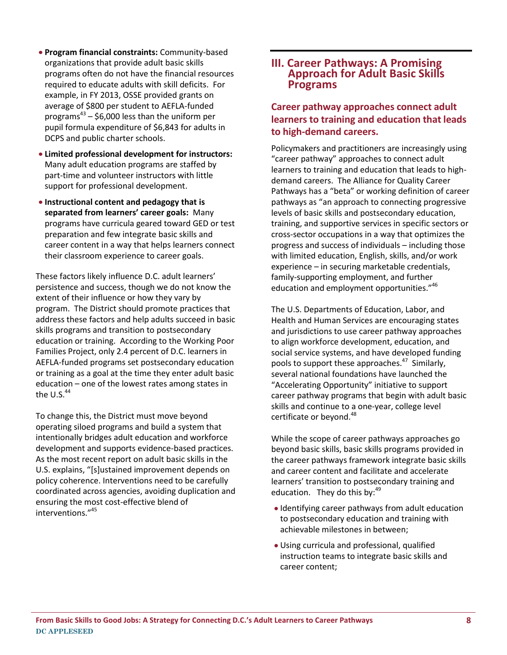- **Program financial constraints:** Community-based organizations that provide adult basic skills programs often do not have the financial resources required to educate adults with skill deficits. For example, in FY 2013, OSSE provided grants on average of \$800 per student to AEFLA-funded programs $^{43}$  – \$6,000 less than the uniform per pupil formula expenditure of \$6,843 for adults in DCPS and public charter schools. **Limited professional development for instructors:**
- Many adult education programs are staffed by part-time and volunteer instructors with little support for professional development.
- **Instructional content and pedagogy that is separated from learners' career goals:** Many programs have curricula geared toward GED or test preparation and few integrate basic skills and career content in a way that helps learners connect their classroom experience to career goals.

These factors likely influence D.C. adult learners' persistence and success, though we do not know the extent of their influence or how they vary by program. The District should promote practices that address these factors and help adults succeed in basic skills programs and transition to postsecondary education or training. According to the Working Poor Families Project, only 2.4 percent of D.C. learners in AEFLA-funded programs set postsecondary education or training as a goal at the time they enter adult basic education – one of the lowest rates among states in the U.S. $44$ 

To change this, the District must move beyond operating siloed programs and build a system that intentionally bridges adult education and workforce development and supports evidence-based practices. As the most recent report on adult basic skills in the U.S. explains, "[s]ustained improvement depends on policy coherence. Interventions need to be carefully coordinated across agencies, avoiding duplication and ensuring the most cost-effective blend of interventions." 45

### **III. Career Pathways: A Promising Approach for Adult Basic Skills Programs**

### **Career pathway approaches connect adult learners to training and education that leads to high-demand careers.**

Policymakers and practitioners are increasingly using "career pathway" approaches to connect adult learners to training and education that leads to highdemand careers. The Alliance for Quality Career Pathways has a "beta" or working definition of career pathways as "an approach to connecting progressive levels of basic skills and postsecondary education, training, and supportive services in specific sectors or cross-sector occupations in a way that optimizes the progress and success of individuals – including those with limited education, English, skills, and/or work experience – in securing marketable credentials, family-supporting employment, and further education and employment opportunities."<sup>46</sup>

The U.S. Departments of Education, Labor, and Health and Human Services are encouraging states and jurisdictions to use career pathway approaches to align workforce development, education, and social service systems, and have developed funding pools to support these approaches.<sup>47</sup> Similarly, several national foundations have launched the "Accelerating Opportunity" initiative to support career pathway programs that begin with adult basic skills and continue to a one-year, college level certificate or beyond.<sup>48</sup>

While the scope of career pathways approaches go beyond basic skills, basic skills programs provided in the career pathways framework integrate basic skills and career content and facilitate and accelerate learners' transition to postsecondary training and education. They do this by:<sup>49</sup>

- Identifying career pathways from adult education to postsecondary education and training with achievable milestones in between;
- Using curricula and professional, qualified instruction teams to integrate basic skills and career content;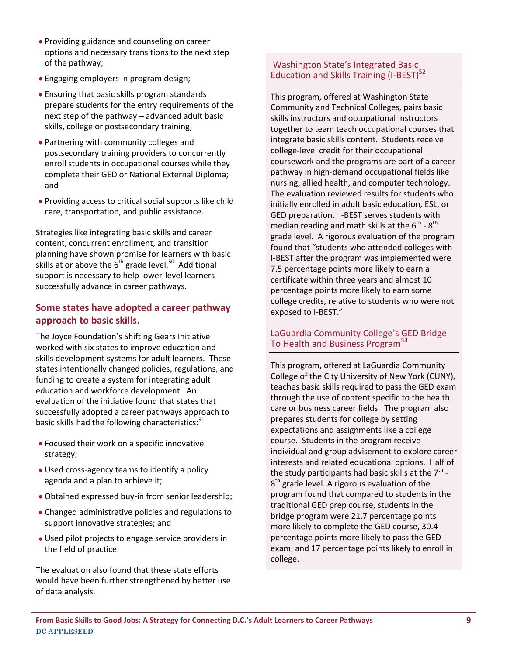- Providing guidance and counseling on career options and necessary transitions to the next step of the pathway;
- Engaging employers in program design;
- Ensuring that basic skills program standards prepare students for the entry requirements of the next step of the pathway – advanced adult basic skills, college or postsecondary training;
- Partnering with community colleges and postsecondary training providers to concurrently enroll students in occupational courses while they complete their GED or National External Diploma; and
- Providing access to critical social supports like child care, transportation, and public assistance.

Strategies like integrating basic skills and career content, concurrent enrollment, and transition planning have shown promise for learners with basic skills at or above the  $6^{th}$  grade level.<sup>50</sup> Additional support is necessary to help lower-level learners successfully advance in career pathways.

#### **Some states have adopted a career pathway approach to basic skills.**

The Joyce Foundation's Shifting Gears Initiative worked with six states to improve education and skills development systems for adult learners. These states intentionally changed policies, regulations, and funding to create a system for integrating adult education and workforce development. An evaluation of the initiative found that states that successfully adopted a career pathways approach to basic skills had the following characteristics:<sup>51</sup>

- Focused their work on a specific innovative strategy;
- Used cross-agency teams to identify a policy agenda and a plan to achieve it;
- Obtained expressed buy-in from senior leadership;
- Changed administrative policies and regulations to support innovative strategies; and
- Used pilot projects to engage service providers in the field of practice.

The evaluation also found that these state efforts would have been further strengthened by better use of data analysis.

#### Washington State's Integrated Basic Education and Skills Training (I-BEST)<sup>52</sup>

This program, offered at Washington State Community and Technical Colleges, pairs basic skills instructors and occupational instructors together to team teach occupational courses that integrate basic skills content. Students receive college-level credit for their occupational coursework and the programs are part of a career pathway in high-demand occupational fields like nursing, allied health, and computer technology. The evaluation reviewed results for students who initially enrolled in adult basic education, ESL, or GED preparation. I-BEST serves students with median reading and math skills at the  $6^{\text{th}}$  -  $8^{\text{th}}$ grade level. A rigorous evaluation of the program found that "students who attended colleges with I-BEST after the program was implemented were 7.5 percentage points more likely to earn a certificate within three years and almost 10 percentage points more likely to earn some college credits, relative to students who were not exposed to I-BEST."

#### LaGuardia Community College's GED Bridge To Health and Business Program<sup>53</sup>

This program, offered at LaGuardia Community College of the City University of New York (CUNY), teaches basic skills required to pass the GED exam through the use of content specific to the health care or business career fields. The program also prepares students for college by setting expectations and assignments like a college course. Students in the program receive individual and group advisement to explore career interests and related educational options. Half of the study participants had basic skills at the  $7^{\text{th}}$  - $8<sup>th</sup>$  grade level. A rigorous evaluation of the program found that compared to students in the traditional GED prep course, students in the bridge program were 21.7 percentage points more likely to complete the GED course, 30.4 percentage points more likely to pass the GED exam, and 17 percentage points likely to enroll in college.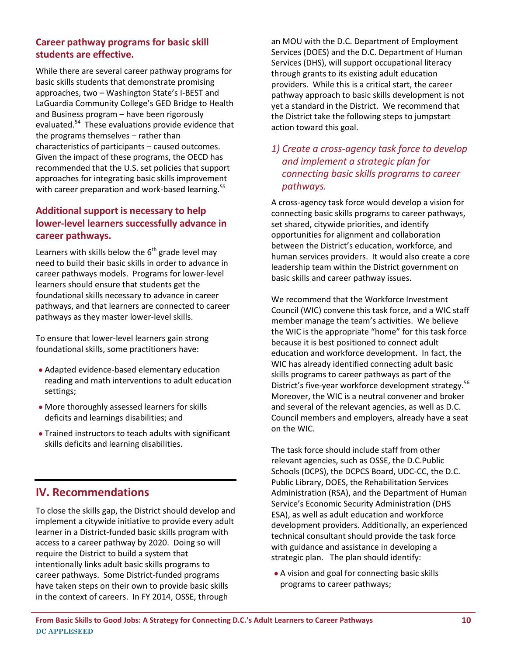#### **Career pathway programs for basic skill students are effective.**

While there are several career pathway programs for basic skills students that demonstrate promising approaches, two – Washington State's I-BEST and LaGuardia Community College's GED Bridge to Health and Business program – have been rigorously evaluated.<sup>54</sup> These evaluations provide evidence that the programs themselves – rather than characteristics of participants – caused outcomes. Given the impact of these programs, the OECD has recommended that the U.S. set policies that support approaches for integrating basic skills improvement with career preparation and work-based learning.<sup>55</sup>

### **Additional support is necessary to help lower-level learners successfully advance in career pathways.**

Learners with skills below the  $6<sup>th</sup>$  grade level may need to build their basic skills in order to advance in career pathways models. Programs for lower-level learners should ensure that students get the foundational skills necessary to advance in career pathways, and that learners are connected to career pathways as they master lower-level skills.

To ensure that lower-level learners gain strong foundational skills, some practitioners have:

- Adapted evidence-based elementary education reading and math interventions to adult education settings;
- More thoroughly assessed learners for skills deficits and learnings disabilities; and
- Trained instructors to teach adults with significant skills deficits and learning disabilities.

### **IV. Recommendations**

To close the skills gap, the District should develop and implement a citywide initiative to provide every adult learner in a District-funded basic skills program with access to a career pathway by 2020. Doing so will require the District to build a system that intentionally links adult basic skills programs to career pathways. Some District-funded programs have taken steps on their own to provide basic skills in the context of careers. In FY 2014, OSSE, through

an MOU with the D.C. Department of Employment Services (DOES) and the D.C. Department of Human Services (DHS), will support occupational literacy through grants to its existing adult education providers. While this is a critical start, the career pathway approach to basic skills development is not yet a standard in the District. We recommend that the District take the following steps to jumpstart action toward this goal.

### *1) Create a cross-agency task force to develop and implement a strategic plan for connecting basic skills programs to career pathways.*

A cross-agency task force would develop a vision for connecting basic skills programs to career pathways, set shared, citywide priorities, and identify opportunities for alignment and collaboration between the District's education, workforce, and human services providers. It would also create a core leadership team within the District government on basic skills and career pathway issues.

We recommend that the Workforce Investment Council (WIC) convene this task force, and a WIC staff member manage the team's activities. We believe the WIC is the appropriate "home" for this task force because it is best positioned to connect adult education and workforce development. In fact, the WIC has already identified connecting adult basic skills programs to career pathways as part of the District's five-year workforce development strategy.<sup>56</sup> Moreover, the WIC is a neutral convener and broker and several of the relevant agencies, as well as D.C. Council members and employers, already have a seat on the WIC.

The task force should include staff from other relevant agencies, such as OSSE, the D.C.Public Schools (DCPS), the DCPCS Board, UDC-CC, the D.C. Public Library, DOES, the Rehabilitation Services Administration (RSA), and the Department of Human Service's Economic Security Administration (DHS ESA), as well as adult education and workforce development providers. Additionally, an experienced technical consultant should provide the task force with guidance and assistance in developing a strategic plan. The plan should identify:

A vision and goal for connecting basic skills programs to career pathways;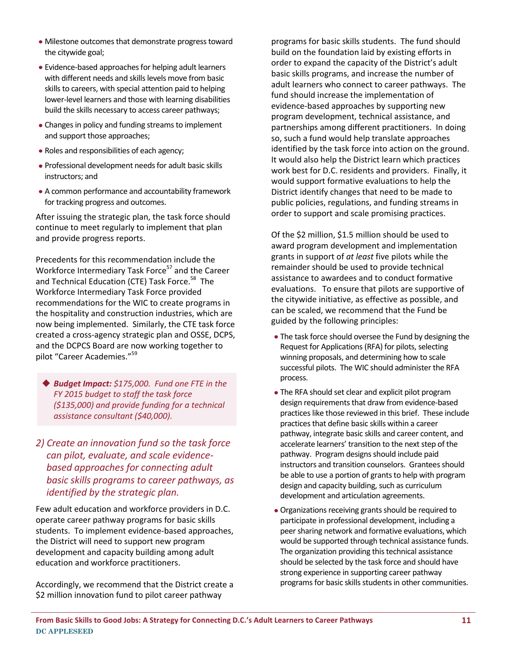- Milestone outcomes that demonstrate progress toward the citywide goal;
- Evidence-based approaches for helping adult learners with different needs and skills levels move from basic skills to careers, with special attention paid to helping lower-level learners and those with learning disabilities build the skills necessary to access career pathways;
- Changes in policy and funding streams to implement and support those approaches;
- Roles and responsibilities of each agency;
- Professional development needs for adult basic skills instructors; and
- A common performance and accountability framework for tracking progress and outcomes.

After issuing the strategic plan, the task force should continue to meet regularly to implement that plan and provide progress reports.

Precedents for this recommendation include the Workforce Intermediary Task Force<sup>57</sup> and the Career and Technical Education (CTE) Task Force.<sup>58</sup> The Workforce Intermediary Task Force provided recommendations for the WIC to create programs in the hospitality and construction industries, which are now being implemented. Similarly, the CTE task force created a cross-agency strategic plan and OSSE, DCPS, and the DCPCS Board are now working together to pilot "Career Academies."<sup>59</sup>

◆ **Budget Impact:** \$175,000. Fund one FTE in the *FY 2015 budget to staff the task force (\$135,000) and provide funding for a technical assistance consultant (\$40,000).* 

### *2) Create an innovation fund so the task force can pilot, evaluate, and scale evidencebased approaches for connecting adult basic skills programs to career pathways, as identified by the strategic plan.*

Few adult education and workforce providers in D.C. operate career pathway programs for basic skills students. To implement evidence-based approaches, the District will need to support new program development and capacity building among adult education and workforce practitioners.

Accordingly, we recommend that the District create a \$2 million innovation fund to pilot career pathway

programs for basic skills students. The fund should build on the foundation laid by existing efforts in order to expand the capacity of the District's adult basic skills programs, and increase the number of adult learners who connect to career pathways. The fund should increase the implementation of evidence-based approaches by supporting new program development, technical assistance, and partnerships among different practitioners. In doing so, such a fund would help translate approaches identified by the task force into action on the ground. It would also help the District learn which practices work best for D.C. residents and providers. Finally, it would support formative evaluations to help the District identify changes that need to be made to public policies, regulations, and funding streams in order to support and scale promising practices.

Of the \$2 million, \$1.5 million should be used to award program development and implementation grants in support of *at least* five pilots while the remainder should be used to provide technical assistance to awardees and to conduct formative evaluations. To ensure that pilots are supportive of the citywide initiative, as effective as possible, and can be scaled, we recommend that the Fund be guided by the following principles:

- The task force should oversee the Fund by designing the Request for Applications (RFA) for pilots, selecting winning proposals, and determining how to scale successful pilots. The WIC should administer the RFA process.
- The RFA should set clear and explicit pilot program design requirements that draw from evidence-based practices like those reviewed in this brief. These include practices that define basic skills within a career pathway, integrate basic skills and career content, and accelerate learners' transition to the next step of the pathway. Program designs should include paid instructors and transition counselors. Grantees should be able to use a portion of grants to help with program design and capacity building, such as curriculum development and articulation agreements.
- Organizations receiving grants should be required to participate in professional development, including a peer sharing network and formative evaluations, which would be supported through technical assistance funds. The organization providing this technical assistance should be selected by the task force and should have strong experience in supporting career pathway programs for basic skills students in other communities.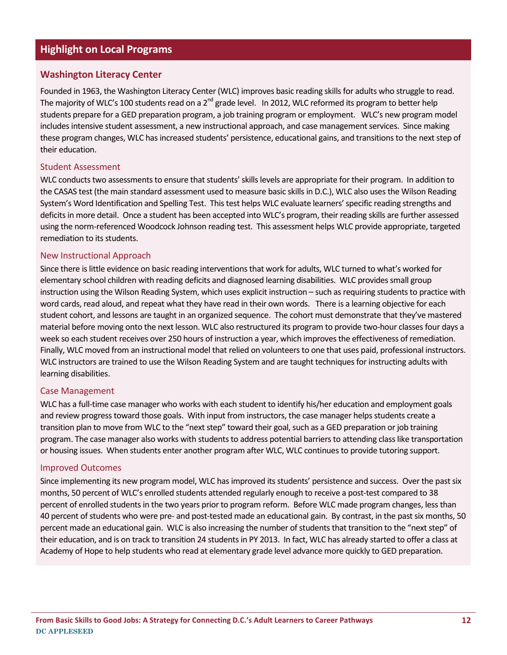### **Highlight on Local Programs**

#### **Washington Literacy Center**

Founded in 1963, the Washington Literacy Center (WLC) improves basic reading skills for adults who struggle to read. The majority of WLC's 100 students read on a  $2^{nd}$  grade level. In 2012, WLC reformed its program to better help students prepare for a GED preparation program, a job training program or employment. WLC's new program model includes intensive student assessment, a new instructional approach, and case management services. Since making these program changes, WLC has increased students' persistence, educational gains, and transitions to the next step of their education.

#### Student Assessment

WLC conducts two assessments to ensure that students' skills levels are appropriate for their program. In addition to the CASAS test (the main standard assessment used to measure basic skills in D.C.), WLC also uses the Wilson Reading System's Word Identification and Spelling Test. This test helps WLC evaluate learners' specific reading strengths and deficits in more detail. Once a student has been accepted into WLC's program, their reading skills are further assessed using the norm-referenced Woodcock Johnson reading test. This assessment helps WLC provide appropriate, targeted remediation to its students.

#### New Instructional Approach

Since there is little evidence on basic reading interventions that work for adults, WLC turned to what's worked for elementary school children with reading deficits and diagnosed learning disabilities. WLC provides small group instruction using the Wilson Reading System, which uses explicit instruction – such as requiring students to practice with word cards, read aloud, and repeat what they have read in their own words. There is a learning objective for each student cohort, and lessons are taught in an organized sequence. The cohort must demonstrate that they've mastered material before moving onto the next lesson. WLC also restructured its program to provide two-hour classes four days a week so each student receives over 250 hours of instruction a year, which improves the effectiveness of remediation. Finally, WLC moved from an instructional model that relied on volunteers to one that uses paid, professional instructors. WLC instructors are trained to use the Wilson Reading System and are taught techniques for instructing adults with learning disabilities.

#### Case Management

WLC has a full-time case manager who works with each student to identify his/her education and employment goals and review progress toward those goals. With input from instructors, the case manager helps students create a transition plan to move from WLC to the "next step" toward their goal, such as a GED preparation or job training program. The case manager also works with students to address potential barriers to attending class like transportation or housing issues. When students enter another program after WLC, WLC continues to provide tutoring support.

#### Improved Outcomes

Since implementing its new program model, WLC has improved its students' persistence and success. Over the past six months, 50 percent of WLC's enrolled students attended regularly enough to receive a post-test compared to 38 percent of enrolled students in the two years prior to program reform. Before WLC made program changes, less than 40 percent of students who were pre- and post-tested made an educational gain. By contrast, in the past six months, 50 percent made an educational gain. WLC is also increasing the number of students that transition to the "next step" of their education, and is on track to transition 24 students in PY 2013. In fact, WLC has already started to offer a class at Academy of Hope to help students who read at elementary grade level advance more quickly to GED preparation.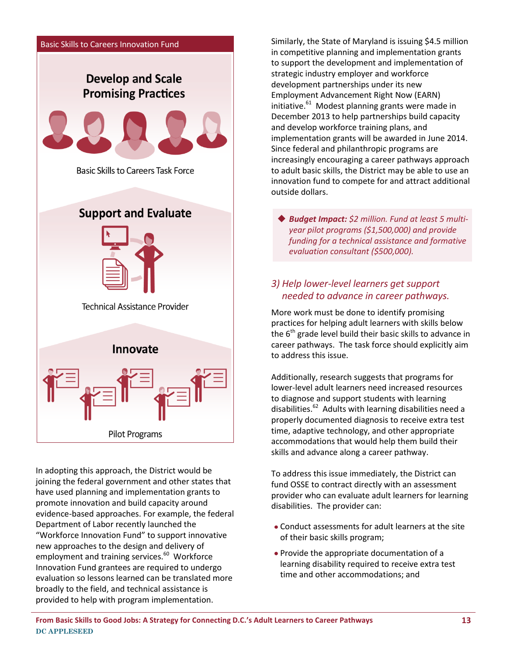

In adopting this approach, the District would be joining the federal government and other states that have used planning and implementation grants to promote innovation and build capacity around evidence-based approaches. For example, the federal Department of Labor recently launched the "Workforce Innovation Fund" to support innovative new approaches to the design and delivery of employment and training services.<sup>60</sup> Workforce Innovation Fund grantees are required to undergo evaluation so lessons learned can be translated more broadly to the field, and technical assistance is provided to help with program implementation.

Similarly, the State of Maryland is issuing \$4.5 million in competitive planning and implementation grants to support the development and implementation of strategic industry employer and workforce development partnerships under its new Employment Advancement Right Now (EARN) initiative.<sup>61</sup> Modest planning grants were made in December 2013 to help partnerships build capacity and develop workforce training plans, and implementation grants will be awarded in June 2014. Since federal and philanthropic programs are increasingly encouraging a career pathways approach to adult basic skills, the District may be able to use an innovation fund to compete for and attract additional outside dollars.

◆ Budget Impact: \$2 million. Fund at least 5 multi*year pilot programs (\$1,500,000) and provide funding for a technical assistance and formative evaluation consultant (\$500,000).* 

### *3) Help lower-level learners get support needed to advance in career pathways.*

More work must be done to identify promising practices for helping adult learners with skills below the  $6<sup>th</sup>$  grade level build their basic skills to advance in career pathways. The task force should explicitly aim to address this issue.

Additionally, research suggests that programs for lower-level adult learners need increased resources to diagnose and support students with learning disabilities.<sup>62</sup> Adults with learning disabilities need a properly documented diagnosis to receive extra test time, adaptive technology, and other appropriate accommodations that would help them build their skills and advance along a career pathway.

To address this issue immediately, the District can fund OSSE to contract directly with an assessment provider who can evaluate adult learners for learning disabilities. The provider can:

- Conduct assessments for adult learners at the site of their basic skills program;
- Provide the appropriate documentation of a learning disability required to receive extra test time and other accommodations; and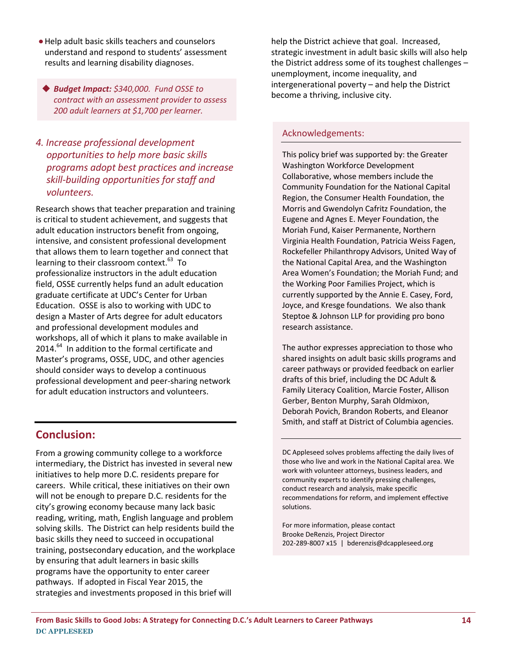Help adult basic skills teachers and counselors understand and respond to students' assessment results and learning disability diagnoses.

 *Budget Impact: \$340,000. Fund OSSE to contract with an assessment provider to assess 200 adult learners at \$1,700 per learner.*

### *4. Increase professional development opportunities to help more basic skills programs adopt best practices and increase skill-building opportunities for staff and volunteers.*

Research shows that teacher preparation and training is critical to student achievement, and suggests that adult education instructors benefit from ongoing, intensive, and consistent professional development that allows them to learn together and connect that learning to their classroom context.<sup>63</sup> To professionalize instructors in the adult education field, OSSE currently helps fund an adult education graduate certificate at UDC's Center for Urban Education. OSSE is also to working with UDC to design a Master of Arts degree for adult educators and professional development modules and workshops, all of which it plans to make available in 2014.<sup>64</sup> In addition to the formal certificate and Master's programs, OSSE, UDC, and other agencies should consider ways to develop a continuous professional development and peer-sharing network for adult education instructors and volunteers.

### **Conclusion:**

From a growing community college to a workforce intermediary, the District has invested in several new initiatives to help more D.C. residents prepare for careers. While critical, these initiatives on their own will not be enough to prepare D.C. residents for the city's growing economy because many lack basic reading, writing, math, English language and problem solving skills. The District can help residents build the basic skills they need to succeed in occupational training, postsecondary education, and the workplace by ensuring that adult learners in basic skills programs have the opportunity to enter career pathways. If adopted in Fiscal Year 2015, the strategies and investments proposed in this brief will

help the District achieve that goal. Increased, strategic investment in adult basic skills will also help the District address some of its toughest challenges – unemployment, income inequality, and intergenerational poverty – and help the District become a thriving, inclusive city.

#### Acknowledgements:

This policy brief was supported by: the Greater Washington Workforce Development Collaborative, whose members include the Community Foundation for the National Capital Region, the Consumer Health Foundation, the Morris and Gwendolyn Cafritz Foundation, the Eugene and Agnes E. Meyer Foundation, the Moriah Fund, Kaiser Permanente, Northern Virginia Health Foundation, Patricia Weiss Fagen, Rockefeller Philanthropy Advisors, United Way of the National Capital Area, and the Washington Area Women's Foundation; the Moriah Fund; and the Working Poor Families Project, which is currently supported by the Annie E. Casey, Ford, Joyce, and Kresge foundations. We also thank Steptoe & Johnson LLP for providing pro bono research assistance.

The author expresses appreciation to those who shared insights on adult basic skills programs and career pathways or provided feedback on earlier drafts of this brief, including the DC Adult & Family Literacy Coalition, Marcie Foster, Allison Gerber, Benton Murphy, Sarah Oldmixon, Deborah Povich, Brandon Roberts, and Eleanor Smith, and staff at District of Columbia agencies.

DC Appleseed solves problems affecting the daily lives of those who live and work in the National Capital area. We work with volunteer attorneys, business leaders, and community experts to identify pressing challenges, conduct research and analysis, make specific recommendations for reform, and implement effective solutions.

For more information, please contact Brooke DeRenzis, Project Director 202-289-8007 x15 | [bderenzis@dcappleseed.org](mailto:bderenzis@dcappleseed.org)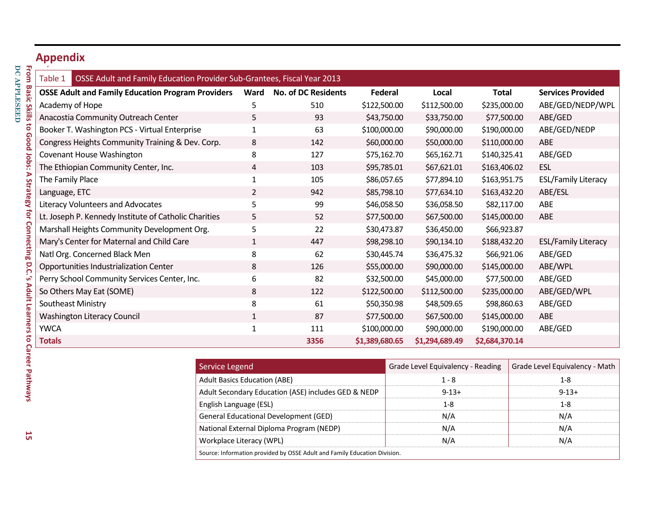## **Appendix**

| Table 1<br>OSSE Adult and Family Education Provider Sub-Grantees, Fiscal Year 2013 |                                                     |                            |                |                                   |                |  |                                |
|------------------------------------------------------------------------------------|-----------------------------------------------------|----------------------------|----------------|-----------------------------------|----------------|--|--------------------------------|
| <b>OSSE Adult and Family Education Program Providers</b>                           | Ward                                                | <b>No. of DC Residents</b> | <b>Federal</b> | Local                             | <b>Total</b>   |  | <b>Services Provided</b>       |
| Academy of Hope                                                                    | 5                                                   | 510                        | \$122,500.00   | \$112,500.00                      | \$235,000.00   |  | ABE/GED/NEDP/WPL               |
| Anacostia Community Outreach Center                                                | 5                                                   | 93                         | \$43,750.00    | \$33,750.00                       | \$77,500.00    |  | ABE/GED                        |
| Booker T. Washington PCS - Virtual Enterprise                                      | 1                                                   | 63                         | \$100,000.00   | \$90,000.00                       | \$190,000.00   |  | ABE/GED/NEDP                   |
| Congress Heights Community Training & Dev. Corp.                                   | 8                                                   | 142                        | \$60,000.00    | \$50,000.00                       | \$110,000.00   |  | ABE                            |
| Covenant House Washington                                                          | 8                                                   | 127                        | \$75,162.70    | \$65,162.71                       | \$140,325.41   |  | ABE/GED                        |
| The Ethiopian Community Center, Inc.                                               | 4                                                   | 103                        | \$95,785.01    | \$67,621.01                       | \$163,406.02   |  | <b>ESL</b>                     |
| The Family Place                                                                   | 1                                                   | 105                        | \$86,057.65    | \$77,894.10                       | \$163,951.75   |  | <b>ESL/Family Literacy</b>     |
| Language, ETC                                                                      | $\overline{2}$                                      | 942                        | \$85,798.10    | \$77,634.10                       | \$163,432.20   |  | ABE/ESL                        |
| Literacy Volunteers and Advocates                                                  | 5                                                   | 99                         | \$46,058.50    | \$36,058.50                       | \$82,117.00    |  | ABE                            |
| Lt. Joseph P. Kennedy Institute of Catholic Charities                              | 5                                                   | 52                         | \$77,500.00    | \$67,500.00                       | \$145,000.00   |  | ABE                            |
| Marshall Heights Community Development Org.                                        | 5                                                   | 22                         | \$30,473.87    | \$36,450.00                       | \$66,923.87    |  |                                |
| Mary's Center for Maternal and Child Care                                          | 1                                                   | 447                        | \$98,298.10    | \$90,134.10                       | \$188,432.20   |  | <b>ESL/Family Literacy</b>     |
| Natl Org. Concerned Black Men                                                      | 8                                                   | 62                         | \$30,445.74    | \$36,475.32                       | \$66,921.06    |  | ABE/GED                        |
| Opportunities Industrialization Center                                             | 8                                                   | 126                        | \$55,000.00    | \$90,000.00                       | \$145,000.00   |  | ABE/WPL                        |
| Perry School Community Services Center, Inc.                                       | 6                                                   | 82                         | \$32,500.00    | \$45,000.00                       | \$77,500.00    |  | ABE/GED                        |
| So Others May Eat (SOME)                                                           | 8                                                   | 122                        | \$122,500.00   | \$112,500.00                      | \$235,000.00   |  | ABE/GED/WPL                    |
| Southeast Ministry                                                                 | 8                                                   | 61                         | \$50,350.98    | \$48,509.65                       | \$98,860.63    |  | ABE/GED                        |
| <b>Washington Literacy Council</b>                                                 | $\mathbf{1}$                                        | 87                         | \$77,500.00    | \$67,500.00                       | \$145,000.00   |  | ABE                            |
| <b>YWCA</b>                                                                        | 1                                                   | 111                        | \$100,000.00   | \$90,000.00                       | \$190,000.00   |  | ABE/GED                        |
| <b>Totals</b>                                                                      |                                                     | 3356                       | \$1,389,680.65 | \$1,294,689.49                    | \$2,684,370.14 |  |                                |
|                                                                                    |                                                     |                            |                |                                   |                |  |                                |
|                                                                                    | <b>Service Legend</b>                               |                            |                | Grade Level Equivalency - Reading |                |  | Grade Level Equivalency - Math |
|                                                                                    | <b>Adult Basics Education (ABE)</b>                 |                            |                | $1 - 8$                           |                |  | $1 - 8$                        |
|                                                                                    | Adult Secondary Education (ASE) includes GED & NEDP |                            |                | $9 - 13 +$                        |                |  | $9 - 13 +$                     |
| to Career Pathways<br>$F = -12$ . Let $F = -1$ and $F = -1$ and $F = 0$            |                                                     |                            |                | $\sim$                            |                |  | $\sim$                         |

| Service Legend                                                            | Grade Level Equivalency - Reading | Grade Level Equivalency - Math |  |  |  |  |
|---------------------------------------------------------------------------|-----------------------------------|--------------------------------|--|--|--|--|
| <b>Adult Basics Education (ABE)</b>                                       | $1 - 8$                           | 1-8                            |  |  |  |  |
| Adult Secondary Education (ASE) includes GED & NEDP                       | $9 - 13 +$                        | $9 - 13 +$                     |  |  |  |  |
| English Language (ESL)                                                    | 1-8                               | 1-8                            |  |  |  |  |
| General Educational Development (GED)                                     | N/A                               | N/A                            |  |  |  |  |
| National External Diploma Program (NEDP)                                  | N/A                               | N/A                            |  |  |  |  |
| Workplace Literacy (WPL)                                                  | N/A                               | N/A                            |  |  |  |  |
| Source: Information provided by OSSE Adult and Family Education Division. |                                   |                                |  |  |  |  |

**DC APPLESEED**

DC APPLESEED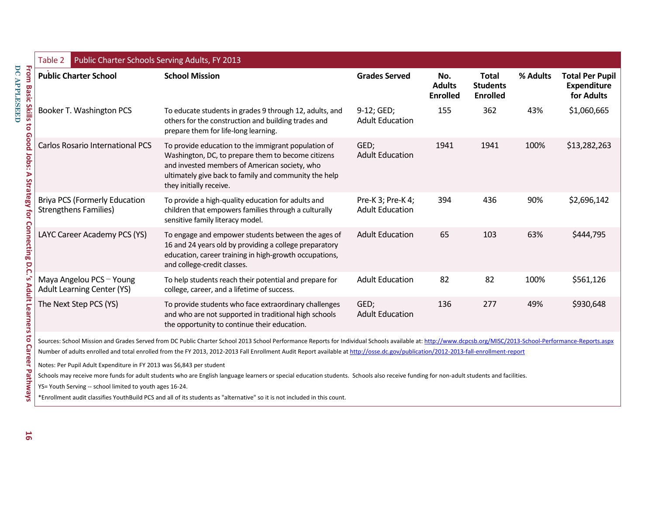| Public Charter Schools Serving Adults, FY 2013<br>Table 2                                                                                                                              |                                                                                                                                                                                                                                                |                                             |                                         |                                                    |          |                                                            |
|----------------------------------------------------------------------------------------------------------------------------------------------------------------------------------------|------------------------------------------------------------------------------------------------------------------------------------------------------------------------------------------------------------------------------------------------|---------------------------------------------|-----------------------------------------|----------------------------------------------------|----------|------------------------------------------------------------|
| <b>Public Charter School</b>                                                                                                                                                           | <b>School Mission</b>                                                                                                                                                                                                                          | <b>Grades Served</b>                        | No.<br><b>Adults</b><br><b>Enrolled</b> | <b>Total</b><br><b>Students</b><br><b>Enrolled</b> | % Adults | <b>Total Per Pupil</b><br><b>Expenditure</b><br>for Adults |
| Booker T. Washington PCS                                                                                                                                                               | To educate students in grades 9 through 12, adults, and<br>others for the construction and building trades and<br>prepare them for life-long learning.                                                                                         | $9-12;$ GED;<br><b>Adult Education</b>      | 155                                     | 362                                                | 43%      | \$1,060,665                                                |
| <b>Carlos Rosario International PCS</b>                                                                                                                                                | To provide education to the immigrant population of<br>Washington, DC, to prepare them to become citizens<br>and invested members of American society, who<br>ultimately give back to family and community the help<br>they initially receive. | GED;<br><b>Adult Education</b>              | 1941                                    | 1941                                               | 100%     | \$13,282,263                                               |
| <b>Briya PCS (Formerly Education</b><br><b>Strengthens Families)</b>                                                                                                                   | To provide a high-quality education for adults and<br>children that empowers families through a culturally<br>sensitive family literacy model.                                                                                                 | Pre-K 3; Pre-K 4;<br><b>Adult Education</b> | 394                                     | 436                                                | 90%      | \$2,696,142                                                |
| LAYC Career Academy PCS (YS)                                                                                                                                                           | To engage and empower students between the ages of<br>16 and 24 years old by providing a college preparatory<br>education, career training in high-growth occupations,<br>and college-credit classes.                                          | <b>Adult Education</b>                      | 65                                      | 103                                                | 63%      | \$444,795                                                  |
| Maya Angelou PCS - Young<br><b>Adult Learning Center (YS)</b>                                                                                                                          | To help students reach their potential and prepare for<br>college, career, and a lifetime of success.                                                                                                                                          | <b>Adult Education</b>                      | 82                                      | 82                                                 | 100%     | \$561,126                                                  |
| The Next Step PCS (YS)                                                                                                                                                                 | To provide students who face extraordinary challenges<br>and who are not supported in traditional high schools<br>the opportunity to continue their education.                                                                                 | GED;<br><b>Adult Education</b>              | 136                                     | 277                                                | 49%      | \$930,648                                                  |
|                                                                                                                                                                                        | Sources: School Mission and Grades Served from DC Public Charter School 2013 School Performance Reports for Individual Schools available at: http://www.dcpcsb.org/MISC/2013-School-Performance-Reports.aspx                                   |                                             |                                         |                                                    |          |                                                            |
|                                                                                                                                                                                        | Number of adults enrolled and total enrolled from the FY 2013, 2012-2013 Fall Enrollment Audit Report available at http://osse.dc.gov/publication/2012-2013-fall-enrollment-report                                                             |                                             |                                         |                                                    |          |                                                            |
| Notes: Per Pupil Adult Expenditure in FY 2013 was \$6,843 per student                                                                                                                  |                                                                                                                                                                                                                                                |                                             |                                         |                                                    |          |                                                            |
| Schools may receive more funds for adult students who are English language learners or special education students. Schools also receive funding for non-adult students and facilities. |                                                                                                                                                                                                                                                |                                             |                                         |                                                    |          |                                                            |
| YS= Youth Serving -- school limited to youth ages 16-24.                                                                                                                               | *Enrollment audit classifies YouthBuild PCS and all of its students as "alternative" so it is not included in this count.                                                                                                                      |                                             |                                         |                                                    |          |                                                            |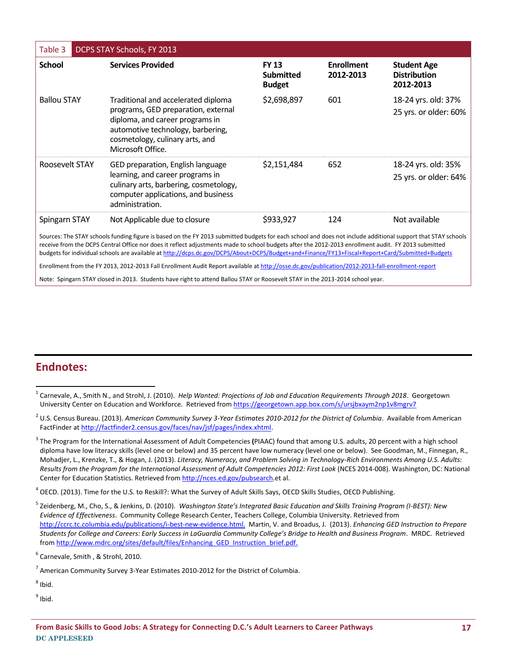| DCPS STAY Schools, FY 2013<br>Table 3                                                                                                                                                                                                                                                                                                                                                                                                                                  |                                                                                                                                                                                                            |                                                   |                                |                                                        |  |  |
|------------------------------------------------------------------------------------------------------------------------------------------------------------------------------------------------------------------------------------------------------------------------------------------------------------------------------------------------------------------------------------------------------------------------------------------------------------------------|------------------------------------------------------------------------------------------------------------------------------------------------------------------------------------------------------------|---------------------------------------------------|--------------------------------|--------------------------------------------------------|--|--|
| <b>School</b>                                                                                                                                                                                                                                                                                                                                                                                                                                                          | <b>Services Provided</b>                                                                                                                                                                                   | <b>FY 13</b><br><b>Submitted</b><br><b>Budget</b> | <b>Enrollment</b><br>2012-2013 | <b>Student Age</b><br><b>Distribution</b><br>2012-2013 |  |  |
| <b>Ballou STAY</b>                                                                                                                                                                                                                                                                                                                                                                                                                                                     | Traditional and accelerated diploma<br>programs, GED preparation, external<br>diploma, and career programs in<br>automotive technology, barbering,<br>cosmetology, culinary arts, and<br>Microsoft Office. | \$2,698,897                                       | 601                            | 18-24 yrs. old: 37%<br>25 yrs. or older: 60%           |  |  |
| Roosevelt STAY                                                                                                                                                                                                                                                                                                                                                                                                                                                         | GED preparation, English language<br>learning, and career programs in<br>culinary arts, barbering, cosmetology,<br>computer applications, and business<br>administration.                                  | \$2,151,484                                       | 652                            | 18-24 yrs. old: 35%<br>25 yrs. or older: 64%           |  |  |
| Spingarn STAY                                                                                                                                                                                                                                                                                                                                                                                                                                                          | Not Applicable due to closure                                                                                                                                                                              | \$933,927                                         | 124                            | Not available                                          |  |  |
| Sources: The STAY schools funding figure is based on the FY 2013 submitted budgets for each school and does not include additional support that STAY schools<br>receive from the DCPS Central Office nor does it reflect adjustments made to school budgets after the 2012-2013 enrollment audit. FY 2013 submitted<br>budgets for individual schools are available at http://dcps.dc.gov/DCPS/About+DCPS/Budget+and+Finance/FY13+Fiscal+Report+Card/Submitted+Budgets |                                                                                                                                                                                                            |                                                   |                                |                                                        |  |  |

Enrollment from the FY 2013, 2012-2013 Fall Enrollment Audit Report available a[t http://osse.dc.gov/publication/2012-2013-fall-enrollment-report](http://osse.dc.gov/publication/2012-2013-fall-enrollment-report)

Note: Spingarn STAY closed in 2013. Students have right to attend Ballou STAY or Roosevelt STAY in the 2013-2014 school year.

### **Endnotes:**

<sup>4</sup> OECD. (2013). Time for the U.S. to Reskill?: What the Survey of Adult Skills Says, OECD Skills Studies, OECD Publishing.

 $\overline{\phantom{a}}$ 1 Carnevale, A., Smith N., and Strohl, J. (2010). *Help Wanted: Projections of Job and Education Requirements Through 2018*. Georgetown University Center on Education and Workforce. Retrieved fro[m https://georgetown.app.box.com/s/ursjbxaym2np1v8mgrv7](https://georgetown.app.box.com/s/ursjbxaym2np1v8mgrv7)

<sup>2</sup> U.S. Census Bureau. (2013). *American Community Survey 3-Year Estimates 2010-2012 for the District of Columbia*. Available from American FactFinder a[t http://factfinder2.census.gov/faces/nav/jsf/pages/index.xhtml.](http://factfinder2.census.gov/faces/nav/jsf/pages/index.xhtml)

<sup>3</sup> The Program for the International Assessment of Adult Competencies **(**PIAAC) found that among U.S. adults, 20 percent with a high school diploma have low literacy skills (level one or below) and 35 percent have low numeracy (level one or below). See Goodman, M., Finnegan, R., Mohadjer, L., Krenzke, T., & Hogan, J. (2013). *Literacy, Numeracy, and Problem Solving in Technology-Rich Environments Among U.S. Adults: Results from the Program for the International Assessment of Adult Competencies 2012: First Look* (NCES 2014-008). Washington, DC: National Center for Education Statistics. Retrieved fro[m http://nces.ed.gov/pubsearch.](http://nces.ed.gov/pubsearch)et al.

<sup>5</sup> Zeidenberg, M., Cho, S., & Jenkins, D. (2010). *Washington State's Integrated Basic Education and Skills Training Program (I-BEST): New Evidence of Effectiveness*. Community College Research Center, Teachers College, Columbia University. Retrieved from [http://ccrc.tc.columbia.edu/publications/i-best-new-evidence.html.](http://ccrc.tc.columbia.edu/publications/i-best-new-evidence.html) Martin, V. and Broadus, J. (2013). *Enhancing GED Instruction to Prepare Students for College and Careers: Early Success in LaGuardia Community College's Bridge to Health and Business Program*. MRDC. Retrieved fro[m http://www.mdrc.org/sites/default/files/Enhancing\\_GED\\_Instruction\\_brief.pdf.](http://www.mdrc.org/sites/default/files/Enhancing_GED_Instruction_brief.pdf)

<sup>&</sup>lt;sup>6</sup> Carnevale, Smith , & Strohl, 2010.

 $^7$  American Community Survey 3-Year Estimates 2010-2012 for the District of Columbia.

<sup>&</sup>lt;sup>8</sup> Ibid.

<sup>&</sup>lt;sup>9</sup> Ibid.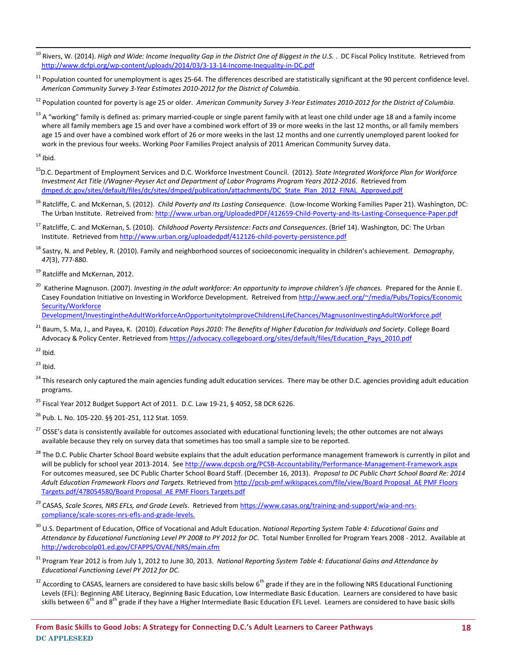$\overline{a}$ <sup>10</sup> Rivers, W. (2014). *High and Wide: Income Inequality Gap in the District One of Biggest in the U.S.* . DC Fiscal Policy Institute. Retrieved from <http://www.dcfpi.org/wp-content/uploads/2014/03/3-13-14-Income-Inequality-in-DC.pdf>

 $11$  Population counted for unemployment is ages 25-64. The differences described are statistically significant at the 90 percent confidence level. *American Community Survey 3-Year Estimates 2010-2012 for the District of Columbia.* 

<sup>12</sup> Population counted for poverty is age 25 or older. *American Community Survey 3-Year Estimates 2010-2012 for the District of Columbia*.

 $13$  A "working" family is defined as: primary married-couple or single parent family with at least one child under age 18 and a family income where all family members age 15 and over have a combined work effort of 39 or more weeks in the last 12 months, or all family members age 15 and over have a combined work effort of 26 or more weeks in the last 12 months and one currently unemployed parent looked for work in the previous four weeks. Working Poor Families Project analysis of 2011 American Community Survey data.

 $14$  Ibid.

<sup>15</sup>D.C. Department of Employment Services and D.C. Workforce Investment Council. (2012). *State Integrated Workforce Plan for Workforce Investment Act Title I/Wagner-Peyser Act and Department of Labor Programs Program Years 2012-2016*. Retrieved from [dmped.dc.gov/sites/default/files/dc/sites/dmped/publication/attachments/DC\\_State\\_Plan\\_2012\\_FINAL\\_Approved.pdf](file:///C:/Documents%20and%20Settings/bderenzis.DCAPPLESEED/Local%20Settings/Temp/dmped.dc.gov/sites/default/files/dc/sites/dmped/publication/attachments/DC_State_Plan_2012_FINAL_Approved.pdf)

<sup>16</sup> Ratcliffe, C. and McKernan, S. (2012). *Child Poverty and Its Lasting Consequence*. (Low-Income Working Families Paper 21). Washington, DC: The Urban Institute. Retreived from[: http://www.urban.org/UploadedPDF/412659-Child-Poverty-and-Its-Lasting-Consequence-Paper.pdf](http://www.urban.org/UploadedPDF/412659-Child-Poverty-and-Its-Lasting-Consequence-Paper.pdf)

<sup>17</sup> Ratcliffe, C. and McKernan, S. (2010). *Childhood Poverty Persistence: Facts and Consequences*. (Brief 14). Washington, DC: The Urban Institute. Retrieved from <http://www.urban.org/uploadedpdf/412126-child-poverty-persistence.pdf>

<sup>18</sup> Sastry, N. and Pebley, R. (2010). Family and neighborhood sources of socioeconomic inequality in children's achievement. *Demography*, *47*(3), 777-880.

<sup>19</sup> Ratcliffe and McKernan, 2012.

<sup>20</sup> Katherine Magnuson. (2007). *Investing in the adult workforce: An opportunity to improve children's life chances.* Prepared for the Annie E. Casey Foundation Initiative on Investing in Workforce Development. Retreived fro[m http://www.aecf.org/~/media/Pubs/Topics/Economic](http://www.aecf.org/~/media/Pubs/Topics/Economic%20Security/Workforce%20Development/InvestingintheAdultWorkforceAnOpportunitytoImproveChildrensLifeChances/MagnusonInvestingAdultWorkforce.pdf)  [Security/Workforce](http://www.aecf.org/~/media/Pubs/Topics/Economic%20Security/Workforce%20Development/InvestingintheAdultWorkforceAnOpportunitytoImproveChildrensLifeChances/MagnusonInvestingAdultWorkforce.pdf) 

[Development/InvestingintheAdultWorkforceAnOpportunitytoImproveChildrensLifeChances/MagnusonInvestingAdultWorkforce.pdf](http://www.aecf.org/~/media/Pubs/Topics/Economic%20Security/Workforce%20Development/InvestingintheAdultWorkforceAnOpportunitytoImproveChildrensLifeChances/MagnusonInvestingAdultWorkforce.pdf)

<sup>21</sup> Baum, S. Ma, J., and Payea, K. (2010). *Education Pays 2010: The Benefits of Higher Education for Individuals and Society*. College Board Advocacy & Policy Center. Retrieved from [https://advocacy.collegeboard.org/sites/default/files/Education\\_Pays\\_2010.pdf](https://advocacy.collegeboard.org/sites/default/files/Education_Pays_2010.pdf)

 $22$  Ibid.

 $23$  Ibid.

<sup>24</sup> This research only captured the main agencies funding adult education services. There may be other D.C. agencies providing adult education programs.

<sup>25</sup> Fiscal Year 2012 Budget Support Act of 2011. D.C. Law 19-21, § 4052, 58 DCR 6226.

<sup>26</sup> Pub. L. No. 105-220. §§ 201-251, 112 Stat. 1059.

- <sup>27</sup> OSSE's data is consistently available for outcomes associated with educational functioning levels; the other outcomes are not always available because they rely on survey data that sometimes has too small a sample size to be reported.
- <sup>28</sup> The D.C. Public Charter School Board website explains that the adult education performance management framework is currently in pilot and will be publicly for school year 2013-2014. See http://www.dcpcsb.org/PCSB-Accountability/Performance-Management-Framework.aspx For outcomes measured, see DC Public Charter School Board Staff. (December 16, 2013). *Proposal to DC Public Chart School Board Re: 2014 Adult Education Framework Floors and Targets.* Retrieved from [http://pcsb-pmf.wikispaces.com/file/view/Board Proposal\\_AE PMF Floors](http://pcsb-pmf.wikispaces.com/file/view/Board%20Proposal_AE%20PMF%20Floors%20Targets.pdf/478054580/Board%20Proposal_AE%20PMF%20Floors%20Targets.pdf)  [Targets.pdf/478054580/Board Proposal\\_AE PMF Floors Targets.pdf](http://pcsb-pmf.wikispaces.com/file/view/Board%20Proposal_AE%20PMF%20Floors%20Targets.pdf/478054580/Board%20Proposal_AE%20PMF%20Floors%20Targets.pdf)
- <sup>29</sup> CASAS, *Scale Scores, NRS EFLs, and Grade Levels*. Retrieved fro[m https://www.casas.org/training-and-support/wia-and-nrs](https://www.casas.org/training-and-support/wia-and-nrs-compliance/scale-scores-nrs-efls-and-grade-levels)[compliance/scale-scores-nrs-efls-and-grade-levels.](https://www.casas.org/training-and-support/wia-and-nrs-compliance/scale-scores-nrs-efls-and-grade-levels)
- <sup>30</sup> U.S. Department of Education, Office of Vocational and Adult Education. *National Reporting System Table 4: Educational Gains and Attendance by Educational Functioning Level PY 2008 to PY 2012 for DC*. Total Number Enrolled for Program Years 2008 - 2012. Available at <http://wdcrobcolp01.ed.gov/CFAPPS/OVAE/NRS/main.cfm>
- <sup>31</sup> Program Year 2012 is from July 1, 2012 to June 30, 2013. *National Reporting System Table 4: Educational Gains and Attendance by Educational Functioning Level PY 2012 for DC.*
- $32$  According to CASAS, learners are considered to have basic skills below 6<sup>th</sup> grade if they are in the following NRS Educational Functioning Levels (EFL): Beginning ABE Literacy, Beginning Basic Education, Low Intermediate Basic Education. Learners are considered to have basic skills between 6<sup>th</sup> and 8<sup>th</sup> grade if they have a Higher Intermediate Basic Education EFL Level. Learners are considered to have basic skills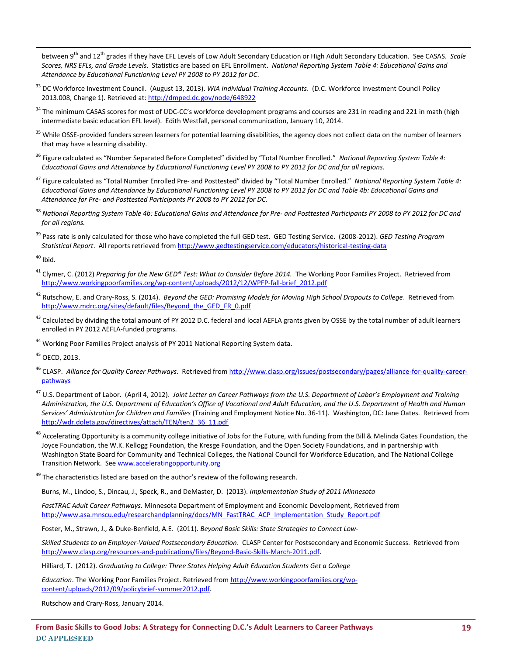between 9<sup>th</sup> and 12<sup>th</sup> grades if they have EFL Levels of Low Adult Secondary Education or High Adult Secondary Education. See CASAS. *Scale Scores, NRS EFLs, and Grade Levels*. Statistics are based on EFL Enrollment. *National Reporting System Table 4: Educational Gains and Attendance by Educational Functioning Level PY 2008 to PY 2012 for DC*.

- <sup>33</sup> DC Workforce Investment Council. (August 13, 2013). *WIA Individual Training Accounts*. (D.C. Workforce Investment Council Policy 2013.008, Change 1). Retrieved at:<http://dmped.dc.gov/node/648922>
- <sup>34</sup> The minimum CASAS scores for most of UDC-CC's workforce development programs and courses are 231 in reading and 221 in math (high intermediate basic education EFL level). Edith Westfall, personal communication, January 10, 2014.
- <sup>35</sup> While OSSE-provided funders screen learners for potential learning disabilities, the agency does not collect data on the number of learners that may have a learning disability.
- <sup>36</sup> Figure calculated as "Number Separated Before Completed" divided by "Total Number Enrolled." *National Reporting System Table 4: Educational Gains and Attendance by Educational Functioning Level PY 2008 to PY 2012 for DC and for all regions.*
- <sup>37</sup> Figure calculated as "Total Number Enrolled Pre- and Posttested" divided by "Total Number Enrolled." *National Reporting System Table 4: Educational Gains and Attendance by Educational Functioning Level PY 2008 to PY 2012 for DC and Table 4b: Educational Gains and Attendance for Pre- and Posttested Participants PY 2008 to PY 2012 for DC.*
- <sup>38</sup> *National Reporting System Table 4b: Educational Gains and Attendance for Pre- and Posttested Participants PY 2008 to PY 2012 for DC and for all regions.*
- <sup>39</sup> Pass rate is only calculated for those who have completed the full GED test. GED Testing Service. (2008-2012). *GED Testing Program Statistical Report*. All reports retrieved from<http://www.gedtestingservice.com/educators/historical-testing-data>

 $40$  Ibid.

 $\overline{a}$ 

- <sup>41</sup> Clymer, C. (2012) *Preparing for the New GED® Test: What to Consider Before 2014.* The Working Poor Families Project.Retrieved from [http://www.workingpoorfamilies.org/wp-content/uploads/2012/12/WPFP-fall-brief\\_2012.pdf](http://www.workingpoorfamilies.org/wp-content/uploads/2012/12/WPFP-fall-brief_2012.pdf)
- <sup>42</sup> Rutschow, E. and Crary-Ross, S. (2014). *Beyond the GED: Promising Models for Moving High School Dropouts to College*. Retrieved from [http://www.mdrc.org/sites/default/files/Beyond\\_the\\_GED\\_FR\\_0.pdf](http://www.mdrc.org/sites/default/files/Beyond_the_GED_FR_0.pdf)
- $^{43}$  Calculated by dividing the total amount of PY 2012 D.C. federal and local AEFLA grants given by OSSE by the total number of adult learners enrolled in PY 2012 AEFLA-funded programs.
- <sup>44</sup> Working Poor Families Project analysis of PY 2011 National Reporting System data.

<sup>45</sup> OECD, 2013.

- <sup>46</sup> CLASP. *Alliance for Quality Career Pathways*. Retrieved from [http://www.clasp.org/issues/postsecondary/pages/alliance-for-quality-career](http://www.clasp.org/issues/postsecondary/pages/alliance-for-quality-career-pathways)[pathways](http://www.clasp.org/issues/postsecondary/pages/alliance-for-quality-career-pathways)
- <sup>47</sup> U.S. Department of Labor. (April 4, 2012). *Joint Letter on Career Pathways from the U.S. Department of Labor's Employment and Training Administration, the U.S. Department of Education's Office of Vocational and Adult Education, and the U.S. Department of Health and Human Services' Administration for Children and Families* (Training and Employment Notice No. 36-11). Washington, DC: Jane Oates. Retrieved from [http://wdr.doleta.gov/directives/attach/TEN/ten2\\_36\\_11.pdf](http://wdr.doleta.gov/directives/attach/TEN/ten2_36_11.pdf)
- <sup>48</sup> Accelerating Opportunity is a community college initiative of Jobs for the Future, with funding from the Bill & Melinda Gates Foundation, the Joyce Foundation, the W.K. Kellogg Foundation, the Kresge Foundation, and the Open Society Foundations, and in partnership with Washington State Board for Community and Technical Colleges, the National Council for Workforce Education, and The National College Transition Network. Se[e www.acceleratingopportunity.org](http://www.acceleratingopportunity.org/)

<sup>49</sup> The characteristics listed are based on the author's review of the following research.

Burns, M., Lindoo, S., Dincau, J., Speck, R., and DeMaster, D. (2013). *Implementation Study of 2011 Minnesota*

*FastTRAC Adult Career Pathways.* Minnesota Department of Employment and Economic Development, Retrieved from [http://www.asa.mnscu.edu/researchandplanning/docs/MN\\_FastTRAC\\_ACP\\_Implementation\\_Study\\_Report.pdf](http://www.asa.mnscu.edu/researchandplanning/docs/MN_FastTRAC_ACP_Implementation_Study_Report.pdf)

Foster, M., Strawn, J., & Duke-Benfield, A.E. (2011). *Beyond Basic Skills: State Strategies to Connect Low-*

*Skilled Students to an Employer-Valued Postsecondary Education*. CLASP Center for Postsecondary and Economic Success. Retrieved from [http://www.clasp.org/resources-and-publications/files/Beyond-Basic-Skills-March-2011.pdf.](http://www.clasp.org/resources-and-publications/files/Beyond-Basic-Skills-March-2011.pdf)

Hilliard, T. (2012). *Graduating to College: Three States Helping Adult Education Students Get a College* 

*Education*. The Working Poor Families Project. Retrieved from [http://www.workingpoorfamilies.org/wp](http://www.workingpoorfamilies.org/wp-content/uploads/2012/09/policybrief-summer2012.pdf)[content/uploads/2012/09/policybrief-summer2012.pdf.](http://www.workingpoorfamilies.org/wp-content/uploads/2012/09/policybrief-summer2012.pdf) 

Rutschow and Crary-Ross, January 2014.